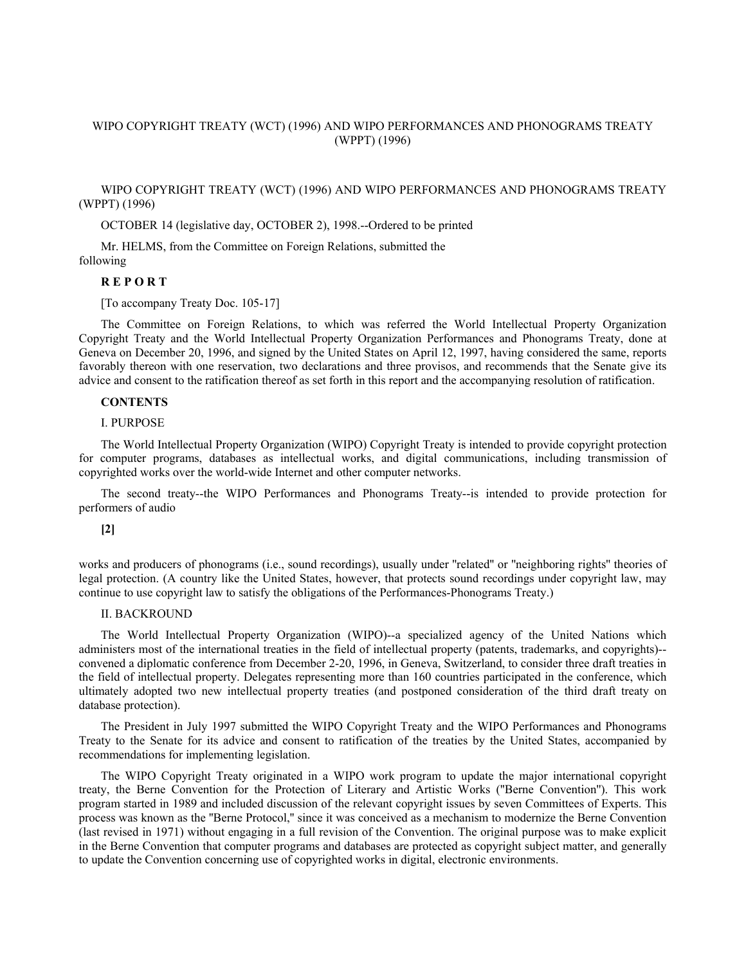# WIPO COPYRIGHT TREATY (WCT) (1996) AND WIPO PERFORMANCES AND PHONOGRAMS TREATY (WPPT) (1996)

WIPO COPYRIGHT TREATY (WCT) (1996) AND WIPO PERFORMANCES AND PHONOGRAMS TREATY (WPPT) (1996)

OCTOBER 14 (legislative day, OCTOBER 2), 1998.--Ordered to be printed

Mr. HELMS, from the Committee on Foreign Relations, submitted the following

# **R E P O R T**

[To accompany Treaty Doc. 105-17]

The Committee on Foreign Relations, to which was referred the World Intellectual Property Organization Copyright Treaty and the World Intellectual Property Organization Performances and Phonograms Treaty, done at Geneva on December 20, 1996, and signed by the United States on April 12, 1997, having considered the same, reports favorably thereon with one reservation, two declarations and three provisos, and recommends that the Senate give its advice and consent to the ratification thereof as set forth in this report and the accompanying resolution of ratification.

## **CONTENTS**

## I. PURPOSE

The World Intellectual Property Organization (WIPO) Copyright Treaty is intended to provide copyright protection for computer programs, databases as intellectual works, and digital communications, including transmission of copyrighted works over the world-wide Internet and other computer networks.

The second treaty--the WIPO Performances and Phonograms Treaty--is intended to provide protection for performers of audio

#### **[2]**

works and producers of phonograms (i.e., sound recordings), usually under ''related'' or ''neighboring rights'' theories of legal protection. (A country like the United States, however, that protects sound recordings under copyright law, may continue to use copyright law to satisfy the obligations of the Performances-Phonograms Treaty.)

### II. BACKROUND

The World Intellectual Property Organization (WIPO)--a specialized agency of the United Nations which administers most of the international treaties in the field of intellectual property (patents, trademarks, and copyrights)- convened a diplomatic conference from December 2-20, 1996, in Geneva, Switzerland, to consider three draft treaties in the field of intellectual property. Delegates representing more than 160 countries participated in the conference, which ultimately adopted two new intellectual property treaties (and postponed consideration of the third draft treaty on database protection).

The President in July 1997 submitted the WIPO Copyright Treaty and the WIPO Performances and Phonograms Treaty to the Senate for its advice and consent to ratification of the treaties by the United States, accompanied by recommendations for implementing legislation.

The WIPO Copyright Treaty originated in a WIPO work program to update the major international copyright treaty, the Berne Convention for the Protection of Literary and Artistic Works (''Berne Convention''). This work program started in 1989 and included discussion of the relevant copyright issues by seven Committees of Experts. This process was known as the ''Berne Protocol,'' since it was conceived as a mechanism to modernize the Berne Convention (last revised in 1971) without engaging in a full revision of the Convention. The original purpose was to make explicit in the Berne Convention that computer programs and databases are protected as copyright subject matter, and generally to update the Convention concerning use of copyrighted works in digital, electronic environments.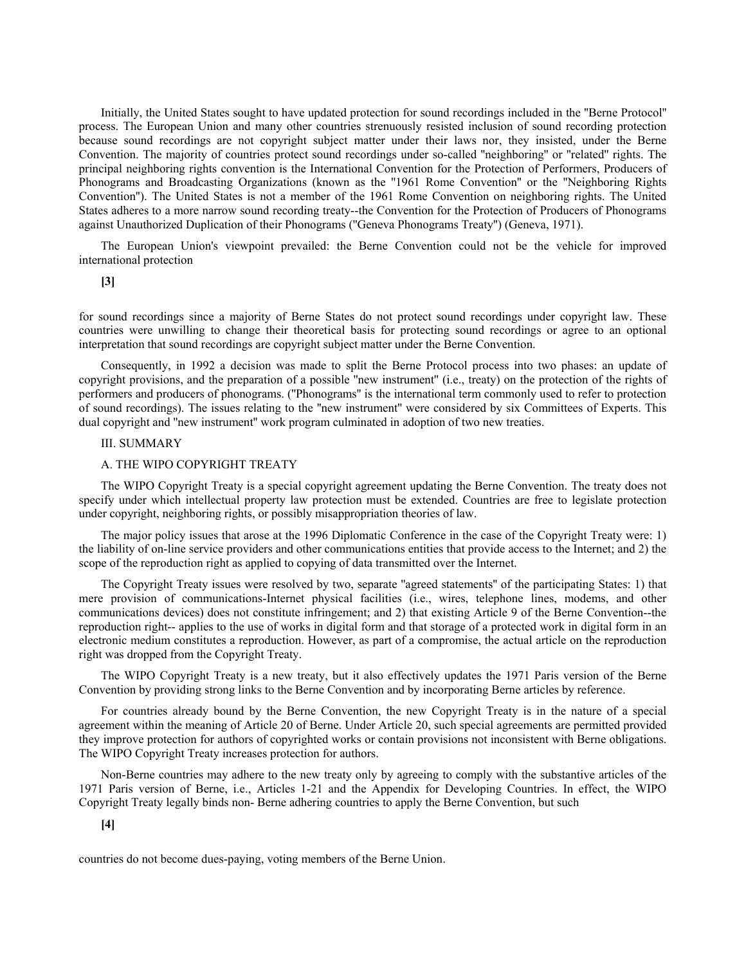Initially, the United States sought to have updated protection for sound recordings included in the ''Berne Protocol'' process. The European Union and many other countries strenuously resisted inclusion of sound recording protection because sound recordings are not copyright subject matter under their laws nor, they insisted, under the Berne Convention. The majority of countries protect sound recordings under so-called ''neighboring'' or ''related'' rights. The principal neighboring rights convention is the International Convention for the Protection of Performers, Producers of Phonograms and Broadcasting Organizations (known as the ''1961 Rome Convention'' or the ''Neighboring Rights Convention''). The United States is not a member of the 1961 Rome Convention on neighboring rights. The United States adheres to a more narrow sound recording treaty--the Convention for the Protection of Producers of Phonograms against Unauthorized Duplication of their Phonograms (''Geneva Phonograms Treaty'') (Geneva, 1971).

The European Union's viewpoint prevailed: the Berne Convention could not be the vehicle for improved international protection

# **[3]**

for sound recordings since a majority of Berne States do not protect sound recordings under copyright law. These countries were unwilling to change their theoretical basis for protecting sound recordings or agree to an optional interpretation that sound recordings are copyright subject matter under the Berne Convention.

Consequently, in 1992 a decision was made to split the Berne Protocol process into two phases: an update of copyright provisions, and the preparation of a possible ''new instrument'' (i.e., treaty) on the protection of the rights of performers and producers of phonograms. (''Phonograms'' is the international term commonly used to refer to protection of sound recordings). The issues relating to the ''new instrument'' were considered by six Committees of Experts. This dual copyright and ''new instrument'' work program culminated in adoption of two new treaties.

# III. SUMMARY

# A. THE WIPO COPYRIGHT TREATY

The WIPO Copyright Treaty is a special copyright agreement updating the Berne Convention. The treaty does not specify under which intellectual property law protection must be extended. Countries are free to legislate protection under copyright, neighboring rights, or possibly misappropriation theories of law.

The major policy issues that arose at the 1996 Diplomatic Conference in the case of the Copyright Treaty were: 1) the liability of on-line service providers and other communications entities that provide access to the Internet; and 2) the scope of the reproduction right as applied to copying of data transmitted over the Internet.

The Copyright Treaty issues were resolved by two, separate ''agreed statements'' of the participating States: 1) that mere provision of communications-Internet physical facilities (i.e., wires, telephone lines, modems, and other communications devices) does not constitute infringement; and 2) that existing Article 9 of the Berne Convention--the reproduction right-- applies to the use of works in digital form and that storage of a protected work in digital form in an electronic medium constitutes a reproduction. However, as part of a compromise, the actual article on the reproduction right was dropped from the Copyright Treaty.

The WIPO Copyright Treaty is a new treaty, but it also effectively updates the 1971 Paris version of the Berne Convention by providing strong links to the Berne Convention and by incorporating Berne articles by reference.

For countries already bound by the Berne Convention, the new Copyright Treaty is in the nature of a special agreement within the meaning of Article 20 of Berne. Under Article 20, such special agreements are permitted provided they improve protection for authors of copyrighted works or contain provisions not inconsistent with Berne obligations. The WIPO Copyright Treaty increases protection for authors.

Non-Berne countries may adhere to the new treaty only by agreeing to comply with the substantive articles of the 1971 Paris version of Berne, i.e., Articles 1-21 and the Appendix for Developing Countries. In effect, the WIPO Copyright Treaty legally binds non- Berne adhering countries to apply the Berne Convention, but such

# **[4]**

countries do not become dues-paying, voting members of the Berne Union.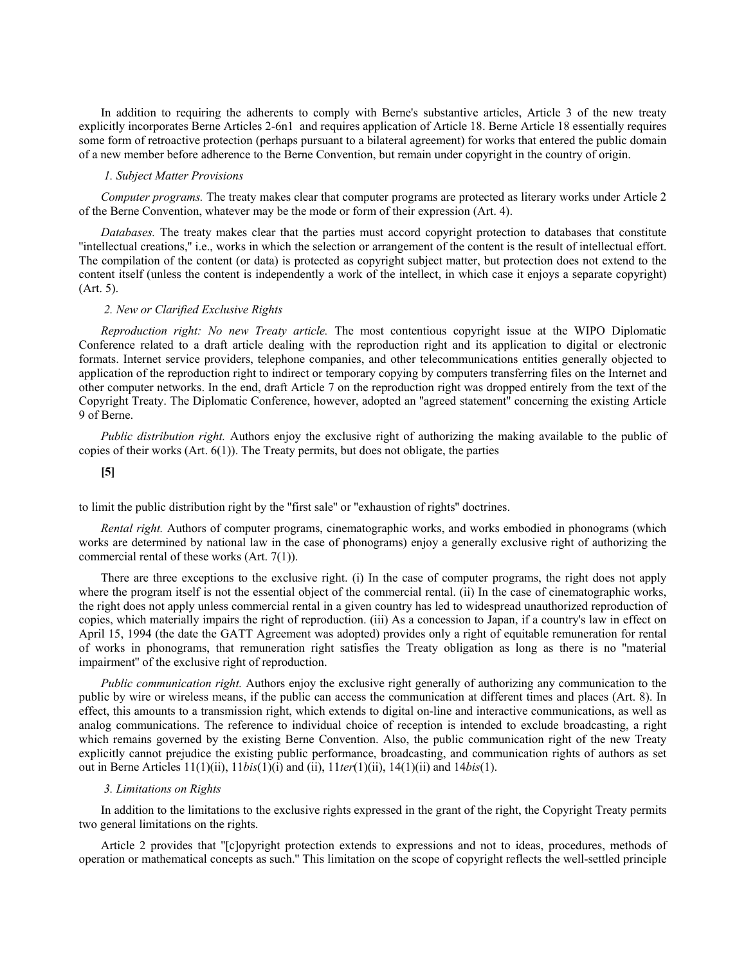In addition to requiring the adherents to comply with Berne's substantive articles, Article 3 of the new treaty explicitly incorporates Berne Articles 2-6n1 and requires application of Article 18. Berne Article 18 essentially requires some form of retroactive protection (perhaps pursuant to a bilateral agreement) for works that entered the public domain of a new member before adherence to the Berne Convention, but remain under copyright in the country of origin.

#### *1. Subject Matter Provisions*

*Computer programs.* The treaty makes clear that computer programs are protected as literary works under Article 2 of the Berne Convention, whatever may be the mode or form of their expression (Art. 4).

*Databases.* The treaty makes clear that the parties must accord copyright protection to databases that constitute ''intellectual creations,'' i.e., works in which the selection or arrangement of the content is the result of intellectual effort. The compilation of the content (or data) is protected as copyright subject matter, but protection does not extend to the content itself (unless the content is independently a work of the intellect, in which case it enjoys a separate copyright) (Art. 5).

# *2. New or Clarified Exclusive Rights*

*Reproduction right: No new Treaty article.* The most contentious copyright issue at the WIPO Diplomatic Conference related to a draft article dealing with the reproduction right and its application to digital or electronic formats. Internet service providers, telephone companies, and other telecommunications entities generally objected to application of the reproduction right to indirect or temporary copying by computers transferring files on the Internet and other computer networks. In the end, draft Article 7 on the reproduction right was dropped entirely from the text of the Copyright Treaty. The Diplomatic Conference, however, adopted an ''agreed statement'' concerning the existing Article 9 of Berne.

*Public distribution right.* Authors enjoy the exclusive right of authorizing the making available to the public of copies of their works (Art. 6(1)). The Treaty permits, but does not obligate, the parties

**[5]**

to limit the public distribution right by the ''first sale'' or ''exhaustion of rights'' doctrines.

*Rental right.* Authors of computer programs, cinematographic works, and works embodied in phonograms (which works are determined by national law in the case of phonograms) enjoy a generally exclusive right of authorizing the commercial rental of these works (Art. 7(1)).

There are three exceptions to the exclusive right. (i) In the case of computer programs, the right does not apply where the program itself is not the essential object of the commercial rental. (ii) In the case of cinematographic works, the right does not apply unless commercial rental in a given country has led to widespread unauthorized reproduction of copies, which materially impairs the right of reproduction. (iii) As a concession to Japan, if a country's law in effect on April 15, 1994 (the date the GATT Agreement was adopted) provides only a right of equitable remuneration for rental of works in phonograms, that remuneration right satisfies the Treaty obligation as long as there is no ''material impairment'' of the exclusive right of reproduction.

*Public communication right.* Authors enjoy the exclusive right generally of authorizing any communication to the public by wire or wireless means, if the public can access the communication at different times and places (Art. 8). In effect, this amounts to a transmission right, which extends to digital on-line and interactive communications, as well as analog communications. The reference to individual choice of reception is intended to exclude broadcasting, a right which remains governed by the existing Berne Convention. Also, the public communication right of the new Treaty explicitly cannot prejudice the existing public performance, broadcasting, and communication rights of authors as set out in Berne Articles 11(1)(ii), 11*bis*(1)(i) and (ii), 11*ter*(1)(ii), 14(1)(ii) and 14*bis*(1).

### *3. Limitations on Rights*

In addition to the limitations to the exclusive rights expressed in the grant of the right, the Copyright Treaty permits two general limitations on the rights.

Article 2 provides that ''[c]opyright protection extends to expressions and not to ideas, procedures, methods of operation or mathematical concepts as such.'' This limitation on the scope of copyright reflects the well-settled principle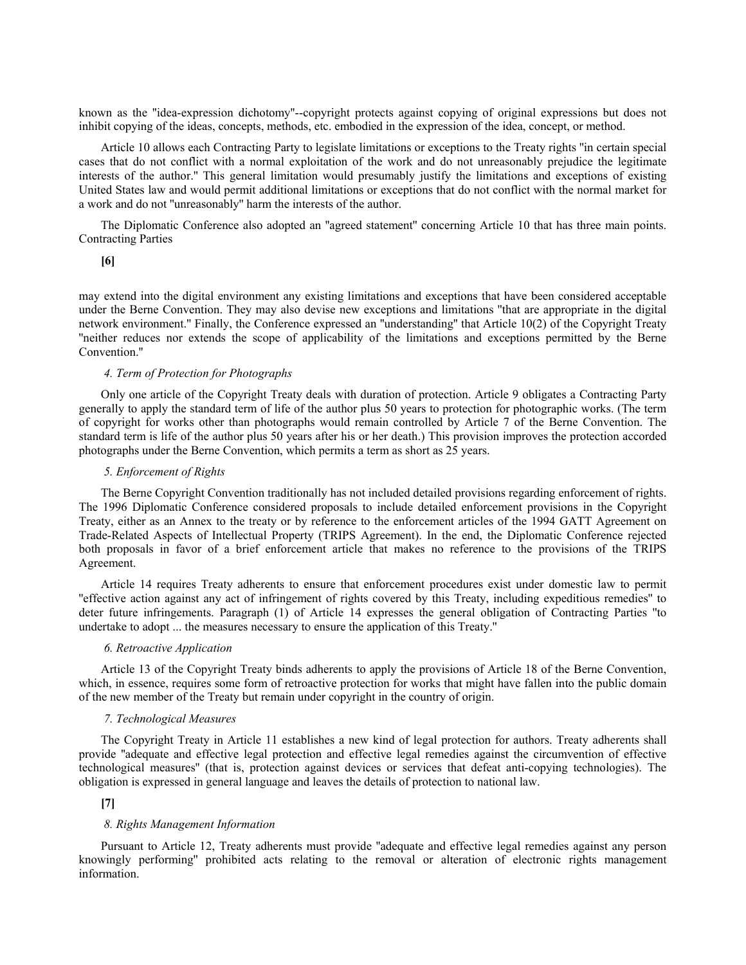known as the ''idea-expression dichotomy''--copyright protects against copying of original expressions but does not inhibit copying of the ideas, concepts, methods, etc. embodied in the expression of the idea, concept, or method.

Article 10 allows each Contracting Party to legislate limitations or exceptions to the Treaty rights ''in certain special cases that do not conflict with a normal exploitation of the work and do not unreasonably prejudice the legitimate interests of the author.'' This general limitation would presumably justify the limitations and exceptions of existing United States law and would permit additional limitations or exceptions that do not conflict with the normal market for a work and do not ''unreasonably'' harm the interests of the author.

The Diplomatic Conference also adopted an ''agreed statement'' concerning Article 10 that has three main points. Contracting Parties

## **[6]**

may extend into the digital environment any existing limitations and exceptions that have been considered acceptable under the Berne Convention. They may also devise new exceptions and limitations ''that are appropriate in the digital network environment.'' Finally, the Conference expressed an ''understanding'' that Article 10(2) of the Copyright Treaty ''neither reduces nor extends the scope of applicability of the limitations and exceptions permitted by the Berne Convention.''

### *4. Term of Protection for Photographs*

Only one article of the Copyright Treaty deals with duration of protection. Article 9 obligates a Contracting Party generally to apply the standard term of life of the author plus 50 years to protection for photographic works. (The term of copyright for works other than photographs would remain controlled by Article 7 of the Berne Convention. The standard term is life of the author plus 50 years after his or her death.) This provision improves the protection accorded photographs under the Berne Convention, which permits a term as short as 25 years.

#### *5. Enforcement of Rights*

The Berne Copyright Convention traditionally has not included detailed provisions regarding enforcement of rights. The 1996 Diplomatic Conference considered proposals to include detailed enforcement provisions in the Copyright Treaty, either as an Annex to the treaty or by reference to the enforcement articles of the 1994 GATT Agreement on Trade-Related Aspects of Intellectual Property (TRIPS Agreement). In the end, the Diplomatic Conference rejected both proposals in favor of a brief enforcement article that makes no reference to the provisions of the TRIPS Agreement.

Article 14 requires Treaty adherents to ensure that enforcement procedures exist under domestic law to permit ''effective action against any act of infringement of rights covered by this Treaty, including expeditious remedies'' to deter future infringements. Paragraph (1) of Article 14 expresses the general obligation of Contracting Parties ''to undertake to adopt ... the measures necessary to ensure the application of this Treaty.''

### *6. Retroactive Application*

Article 13 of the Copyright Treaty binds adherents to apply the provisions of Article 18 of the Berne Convention, which, in essence, requires some form of retroactive protection for works that might have fallen into the public domain of the new member of the Treaty but remain under copyright in the country of origin.

#### *7. Technological Measures*

The Copyright Treaty in Article 11 establishes a new kind of legal protection for authors. Treaty adherents shall provide ''adequate and effective legal protection and effective legal remedies against the circumvention of effective technological measures'' (that is, protection against devices or services that defeat anti-copying technologies). The obligation is expressed in general language and leaves the details of protection to national law.

# **[7]**

# *8. Rights Management Information*

Pursuant to Article 12, Treaty adherents must provide ''adequate and effective legal remedies against any person knowingly performing'' prohibited acts relating to the removal or alteration of electronic rights management information.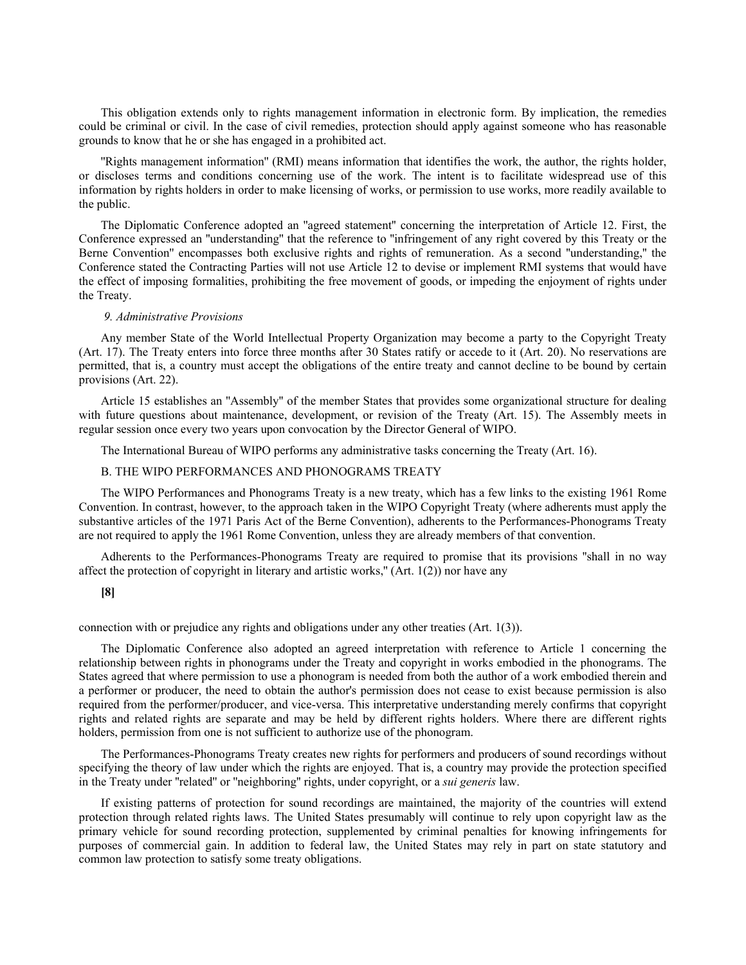This obligation extends only to rights management information in electronic form. By implication, the remedies could be criminal or civil. In the case of civil remedies, protection should apply against someone who has reasonable grounds to know that he or she has engaged in a prohibited act.

''Rights management information'' (RMI) means information that identifies the work, the author, the rights holder, or discloses terms and conditions concerning use of the work. The intent is to facilitate widespread use of this information by rights holders in order to make licensing of works, or permission to use works, more readily available to the public.

The Diplomatic Conference adopted an ''agreed statement'' concerning the interpretation of Article 12. First, the Conference expressed an ''understanding'' that the reference to ''infringement of any right covered by this Treaty or the Berne Convention'' encompasses both exclusive rights and rights of remuneration. As a second ''understanding,'' the Conference stated the Contracting Parties will not use Article 12 to devise or implement RMI systems that would have the effect of imposing formalities, prohibiting the free movement of goods, or impeding the enjoyment of rights under the Treaty.

# *9. Administrative Provisions*

Any member State of the World Intellectual Property Organization may become a party to the Copyright Treaty (Art. 17). The Treaty enters into force three months after 30 States ratify or accede to it (Art. 20). No reservations are permitted, that is, a country must accept the obligations of the entire treaty and cannot decline to be bound by certain provisions (Art. 22).

Article 15 establishes an ''Assembly'' of the member States that provides some organizational structure for dealing with future questions about maintenance, development, or revision of the Treaty (Art. 15). The Assembly meets in regular session once every two years upon convocation by the Director General of WIPO.

The International Bureau of WIPO performs any administrative tasks concerning the Treaty (Art. 16).

#### B. THE WIPO PERFORMANCES AND PHONOGRAMS TREATY

The WIPO Performances and Phonograms Treaty is a new treaty, which has a few links to the existing 1961 Rome Convention. In contrast, however, to the approach taken in the WIPO Copyright Treaty (where adherents must apply the substantive articles of the 1971 Paris Act of the Berne Convention), adherents to the Performances-Phonograms Treaty are not required to apply the 1961 Rome Convention, unless they are already members of that convention.

Adherents to the Performances-Phonograms Treaty are required to promise that its provisions ''shall in no way affect the protection of copyright in literary and artistic works,'' (Art. 1(2)) nor have any

# **[8]**

connection with or prejudice any rights and obligations under any other treaties (Art. 1(3)).

The Diplomatic Conference also adopted an agreed interpretation with reference to Article 1 concerning the relationship between rights in phonograms under the Treaty and copyright in works embodied in the phonograms. The States agreed that where permission to use a phonogram is needed from both the author of a work embodied therein and a performer or producer, the need to obtain the author's permission does not cease to exist because permission is also required from the performer/producer, and vice-versa. This interpretative understanding merely confirms that copyright rights and related rights are separate and may be held by different rights holders. Where there are different rights holders, permission from one is not sufficient to authorize use of the phonogram.

The Performances-Phonograms Treaty creates new rights for performers and producers of sound recordings without specifying the theory of law under which the rights are enjoyed. That is, a country may provide the protection specified in the Treaty under ''related'' or ''neighboring'' rights, under copyright, or a *sui generis* law.

If existing patterns of protection for sound recordings are maintained, the majority of the countries will extend protection through related rights laws. The United States presumably will continue to rely upon copyright law as the primary vehicle for sound recording protection, supplemented by criminal penalties for knowing infringements for purposes of commercial gain. In addition to federal law, the United States may rely in part on state statutory and common law protection to satisfy some treaty obligations.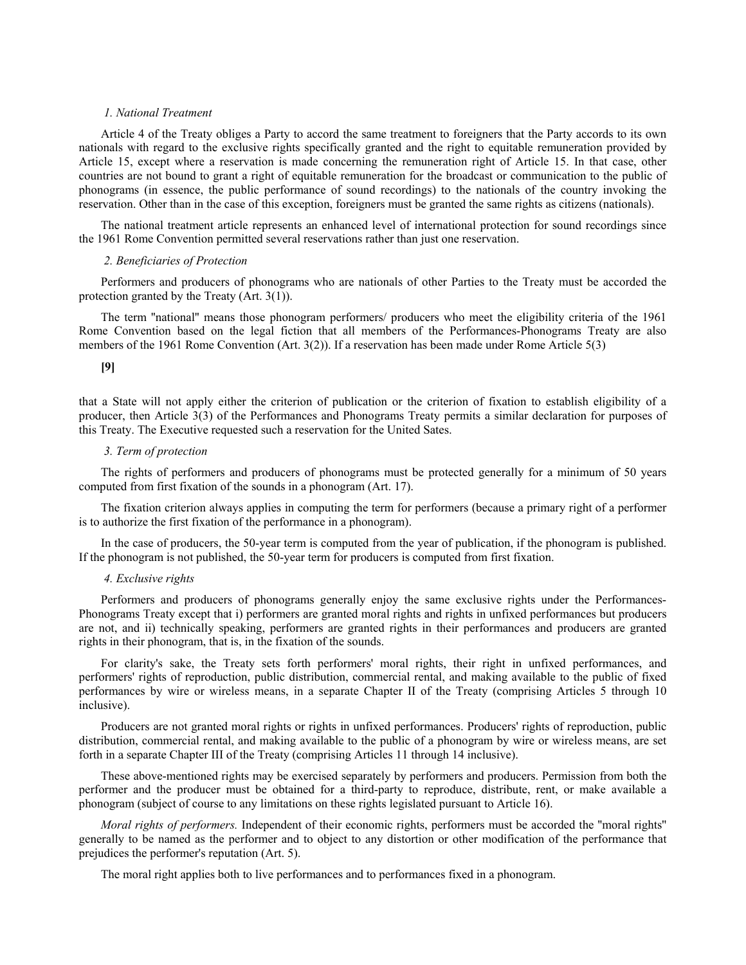## *1. National Treatment*

Article 4 of the Treaty obliges a Party to accord the same treatment to foreigners that the Party accords to its own nationals with regard to the exclusive rights specifically granted and the right to equitable remuneration provided by Article 15, except where a reservation is made concerning the remuneration right of Article 15. In that case, other countries are not bound to grant a right of equitable remuneration for the broadcast or communication to the public of phonograms (in essence, the public performance of sound recordings) to the nationals of the country invoking the reservation. Other than in the case of this exception, foreigners must be granted the same rights as citizens (nationals).

The national treatment article represents an enhanced level of international protection for sound recordings since the 1961 Rome Convention permitted several reservations rather than just one reservation.

## *2. Beneficiaries of Protection*

Performers and producers of phonograms who are nationals of other Parties to the Treaty must be accorded the protection granted by the Treaty (Art. 3(1)).

The term ''national'' means those phonogram performers/ producers who meet the eligibility criteria of the 1961 Rome Convention based on the legal fiction that all members of the Performances-Phonograms Treaty are also members of the 1961 Rome Convention (Art. 3(2)). If a reservation has been made under Rome Article 5(3)

# **[9]**

that a State will not apply either the criterion of publication or the criterion of fixation to establish eligibility of a producer, then Article 3(3) of the Performances and Phonograms Treaty permits a similar declaration for purposes of this Treaty. The Executive requested such a reservation for the United Sates.

### *3. Term of protection*

The rights of performers and producers of phonograms must be protected generally for a minimum of 50 years computed from first fixation of the sounds in a phonogram (Art. 17).

The fixation criterion always applies in computing the term for performers (because a primary right of a performer is to authorize the first fixation of the performance in a phonogram).

In the case of producers, the 50-year term is computed from the year of publication, if the phonogram is published. If the phonogram is not published, the 50-year term for producers is computed from first fixation.

## *4. Exclusive rights*

Performers and producers of phonograms generally enjoy the same exclusive rights under the Performances-Phonograms Treaty except that i) performers are granted moral rights and rights in unfixed performances but producers are not, and ii) technically speaking, performers are granted rights in their performances and producers are granted rights in their phonogram, that is, in the fixation of the sounds.

For clarity's sake, the Treaty sets forth performers' moral rights, their right in unfixed performances, and performers' rights of reproduction, public distribution, commercial rental, and making available to the public of fixed performances by wire or wireless means, in a separate Chapter II of the Treaty (comprising Articles 5 through 10 inclusive).

Producers are not granted moral rights or rights in unfixed performances. Producers' rights of reproduction, public distribution, commercial rental, and making available to the public of a phonogram by wire or wireless means, are set forth in a separate Chapter III of the Treaty (comprising Articles 11 through 14 inclusive).

These above-mentioned rights may be exercised separately by performers and producers. Permission from both the performer and the producer must be obtained for a third-party to reproduce, distribute, rent, or make available a phonogram (subject of course to any limitations on these rights legislated pursuant to Article 16).

*Moral rights of performers.* Independent of their economic rights, performers must be accorded the ''moral rights'' generally to be named as the performer and to object to any distortion or other modification of the performance that prejudices the performer's reputation (Art. 5).

The moral right applies both to live performances and to performances fixed in a phonogram.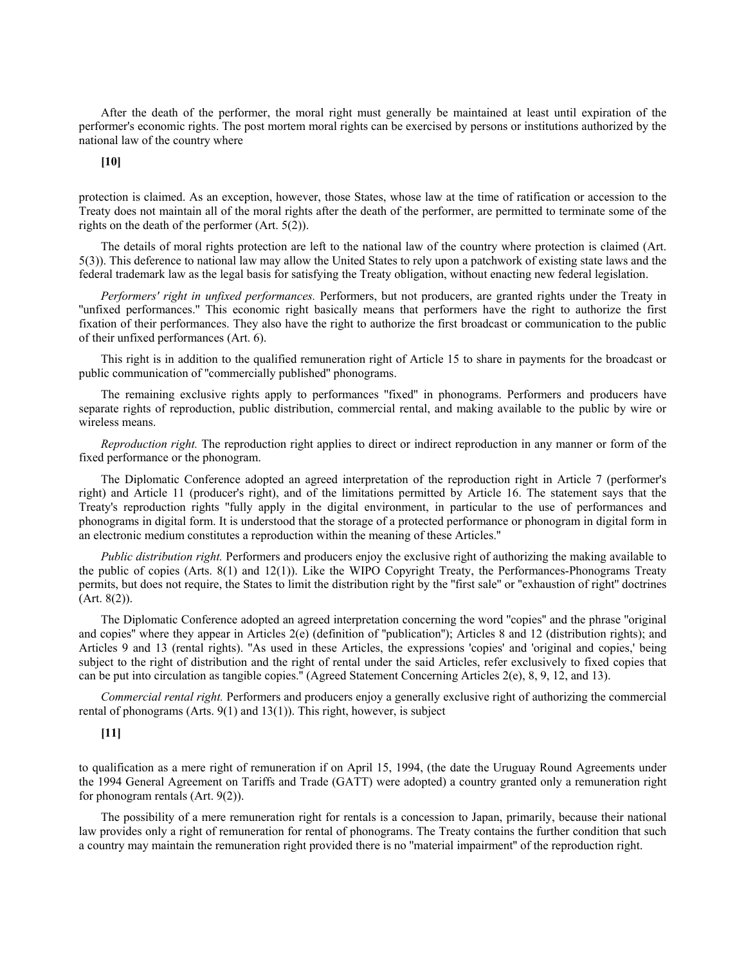After the death of the performer, the moral right must generally be maintained at least until expiration of the performer's economic rights. The post mortem moral rights can be exercised by persons or institutions authorized by the national law of the country where

**[10]**

protection is claimed. As an exception, however, those States, whose law at the time of ratification or accession to the Treaty does not maintain all of the moral rights after the death of the performer, are permitted to terminate some of the rights on the death of the performer (Art. 5(2)).

The details of moral rights protection are left to the national law of the country where protection is claimed (Art. 5(3)). This deference to national law may allow the United States to rely upon a patchwork of existing state laws and the federal trademark law as the legal basis for satisfying the Treaty obligation, without enacting new federal legislation.

*Performers' right in unfixed performances.* Performers, but not producers, are granted rights under the Treaty in ''unfixed performances.'' This economic right basically means that performers have the right to authorize the first fixation of their performances. They also have the right to authorize the first broadcast or communication to the public of their unfixed performances (Art. 6).

This right is in addition to the qualified remuneration right of Article 15 to share in payments for the broadcast or public communication of ''commercially published'' phonograms.

The remaining exclusive rights apply to performances ''fixed'' in phonograms. Performers and producers have separate rights of reproduction, public distribution, commercial rental, and making available to the public by wire or wireless means.

*Reproduction right.* The reproduction right applies to direct or indirect reproduction in any manner or form of the fixed performance or the phonogram.

The Diplomatic Conference adopted an agreed interpretation of the reproduction right in Article 7 (performer's right) and Article 11 (producer's right), and of the limitations permitted by Article 16. The statement says that the Treaty's reproduction rights ''fully apply in the digital environment, in particular to the use of performances and phonograms in digital form. It is understood that the storage of a protected performance or phonogram in digital form in an electronic medium constitutes a reproduction within the meaning of these Articles.''

*Public distribution right.* Performers and producers enjoy the exclusive right of authorizing the making available to the public of copies (Arts. 8(1) and 12(1)). Like the WIPO Copyright Treaty, the Performances-Phonograms Treaty permits, but does not require, the States to limit the distribution right by the ''first sale'' or ''exhaustion of right'' doctrines (Art. 8(2)).

The Diplomatic Conference adopted an agreed interpretation concerning the word ''copies'' and the phrase ''original and copies" where they appear in Articles  $2(e)$  (definition of "publication"); Articles 8 and 12 (distribution rights); and Articles 9 and 13 (rental rights). ''As used in these Articles, the expressions 'copies' and 'original and copies,' being subject to the right of distribution and the right of rental under the said Articles, refer exclusively to fixed copies that can be put into circulation as tangible copies.'' (Agreed Statement Concerning Articles 2(e), 8, 9, 12, and 13).

*Commercial rental right.* Performers and producers enjoy a generally exclusive right of authorizing the commercial rental of phonograms (Arts. 9(1) and 13(1)). This right, however, is subject

# **[11]**

to qualification as a mere right of remuneration if on April 15, 1994, (the date the Uruguay Round Agreements under the 1994 General Agreement on Tariffs and Trade (GATT) were adopted) a country granted only a remuneration right for phonogram rentals (Art. 9(2)).

The possibility of a mere remuneration right for rentals is a concession to Japan, primarily, because their national law provides only a right of remuneration for rental of phonograms. The Treaty contains the further condition that such a country may maintain the remuneration right provided there is no ''material impairment'' of the reproduction right.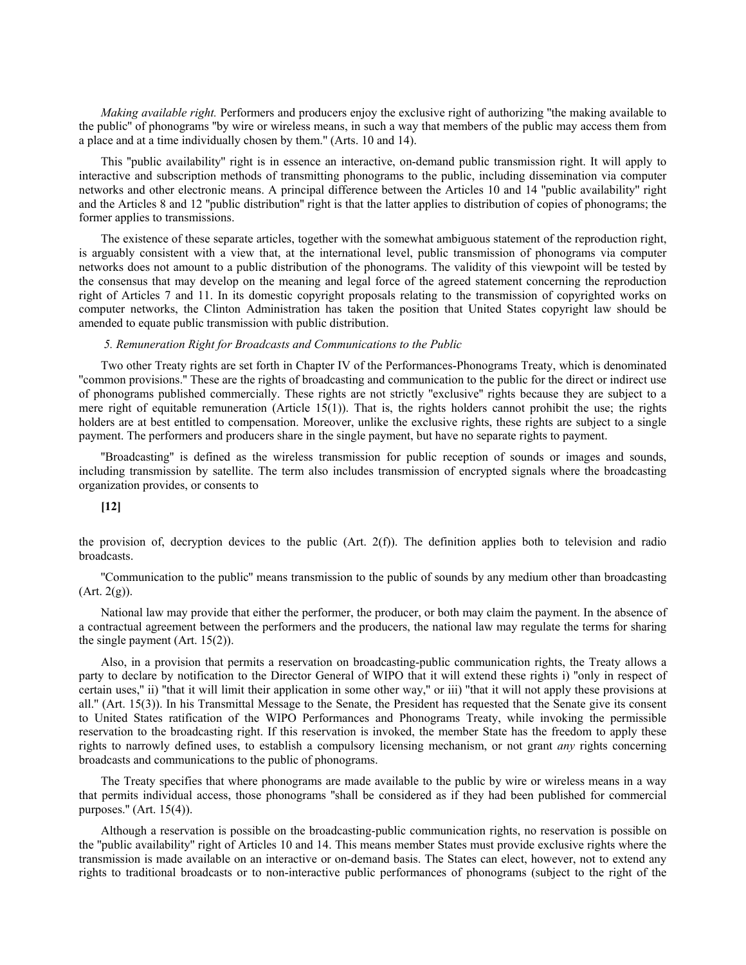*Making available right.* Performers and producers enjoy the exclusive right of authorizing ''the making available to the public'' of phonograms ''by wire or wireless means, in such a way that members of the public may access them from a place and at a time individually chosen by them.'' (Arts. 10 and 14).

This "public availability" right is in essence an interactive, on-demand public transmission right. It will apply to interactive and subscription methods of transmitting phonograms to the public, including dissemination via computer networks and other electronic means. A principal difference between the Articles 10 and 14 ''public availability'' right and the Articles 8 and 12 ''public distribution'' right is that the latter applies to distribution of copies of phonograms; the former applies to transmissions.

The existence of these separate articles, together with the somewhat ambiguous statement of the reproduction right, is arguably consistent with a view that, at the international level, public transmission of phonograms via computer networks does not amount to a public distribution of the phonograms. The validity of this viewpoint will be tested by the consensus that may develop on the meaning and legal force of the agreed statement concerning the reproduction right of Articles 7 and 11. In its domestic copyright proposals relating to the transmission of copyrighted works on computer networks, the Clinton Administration has taken the position that United States copyright law should be amended to equate public transmission with public distribution.

#### *5. Remuneration Right for Broadcasts and Communications to the Public*

Two other Treaty rights are set forth in Chapter IV of the Performances-Phonograms Treaty, which is denominated ''common provisions.'' These are the rights of broadcasting and communication to the public for the direct or indirect use of phonograms published commercially. These rights are not strictly ''exclusive'' rights because they are subject to a mere right of equitable remuneration (Article 15(1)). That is, the rights holders cannot prohibit the use; the rights holders are at best entitled to compensation. Moreover, unlike the exclusive rights, these rights are subject to a single payment. The performers and producers share in the single payment, but have no separate rights to payment.

''Broadcasting'' is defined as the wireless transmission for public reception of sounds or images and sounds, including transmission by satellite. The term also includes transmission of encrypted signals where the broadcasting organization provides, or consents to

## **[12]**

the provision of, decryption devices to the public (Art.  $2(f)$ ). The definition applies both to television and radio broadcasts.

''Communication to the public'' means transmission to the public of sounds by any medium other than broadcasting  $(Art. 2(g))$ .

National law may provide that either the performer, the producer, or both may claim the payment. In the absence of a contractual agreement between the performers and the producers, the national law may regulate the terms for sharing the single payment (Art. 15(2)).

Also, in a provision that permits a reservation on broadcasting-public communication rights, the Treaty allows a party to declare by notification to the Director General of WIPO that it will extend these rights i) ''only in respect of certain uses,'' ii) ''that it will limit their application in some other way,'' or iii) ''that it will not apply these provisions at all.'' (Art. 15(3)). In his Transmittal Message to the Senate, the President has requested that the Senate give its consent to United States ratification of the WIPO Performances and Phonograms Treaty, while invoking the permissible reservation to the broadcasting right. If this reservation is invoked, the member State has the freedom to apply these rights to narrowly defined uses, to establish a compulsory licensing mechanism, or not grant *any* rights concerning broadcasts and communications to the public of phonograms.

The Treaty specifies that where phonograms are made available to the public by wire or wireless means in a way that permits individual access, those phonograms ''shall be considered as if they had been published for commercial purposes.'' (Art. 15(4)).

Although a reservation is possible on the broadcasting-public communication rights, no reservation is possible on the ''public availability'' right of Articles 10 and 14. This means member States must provide exclusive rights where the transmission is made available on an interactive or on-demand basis. The States can elect, however, not to extend any rights to traditional broadcasts or to non-interactive public performances of phonograms (subject to the right of the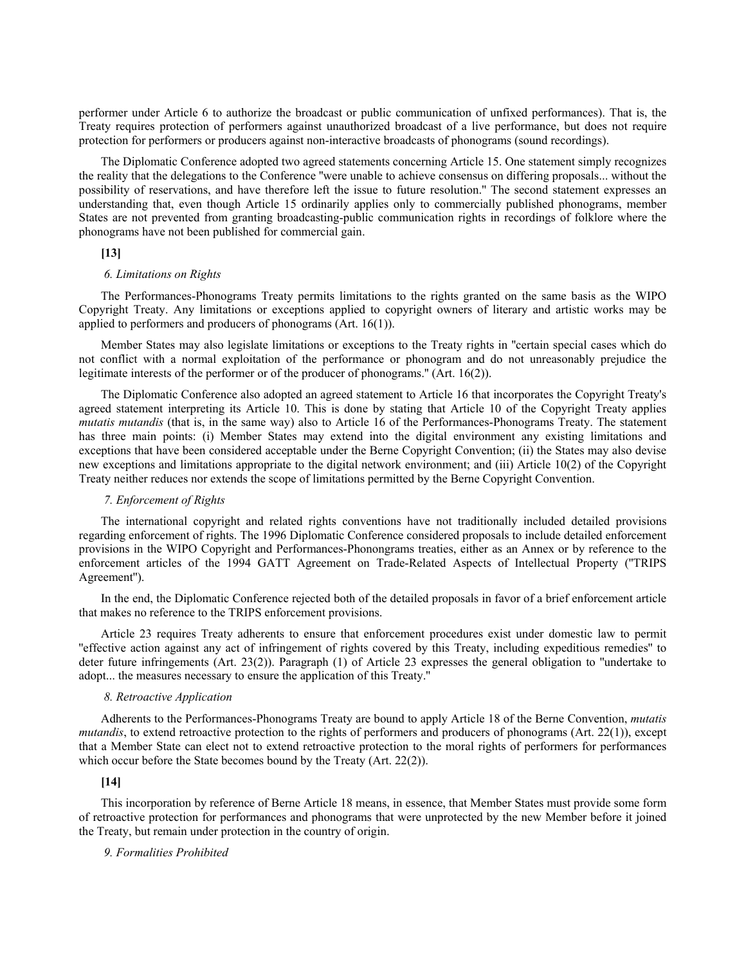performer under Article 6 to authorize the broadcast or public communication of unfixed performances). That is, the Treaty requires protection of performers against unauthorized broadcast of a live performance, but does not require protection for performers or producers against non-interactive broadcasts of phonograms (sound recordings).

The Diplomatic Conference adopted two agreed statements concerning Article 15. One statement simply recognizes the reality that the delegations to the Conference ''were unable to achieve consensus on differing proposals... without the possibility of reservations, and have therefore left the issue to future resolution.'' The second statement expresses an understanding that, even though Article 15 ordinarily applies only to commercially published phonograms, member States are not prevented from granting broadcasting-public communication rights in recordings of folklore where the phonograms have not been published for commercial gain.

# **[13]**

### *6. Limitations on Rights*

The Performances-Phonograms Treaty permits limitations to the rights granted on the same basis as the WIPO Copyright Treaty. Any limitations or exceptions applied to copyright owners of literary and artistic works may be applied to performers and producers of phonograms (Art. 16(1)).

Member States may also legislate limitations or exceptions to the Treaty rights in ''certain special cases which do not conflict with a normal exploitation of the performance or phonogram and do not unreasonably prejudice the legitimate interests of the performer or of the producer of phonograms.'' (Art. 16(2)).

The Diplomatic Conference also adopted an agreed statement to Article 16 that incorporates the Copyright Treaty's agreed statement interpreting its Article 10. This is done by stating that Article 10 of the Copyright Treaty applies *mutatis mutandis* (that is, in the same way) also to Article 16 of the Performances-Phonograms Treaty. The statement has three main points: (i) Member States may extend into the digital environment any existing limitations and exceptions that have been considered acceptable under the Berne Copyright Convention; (ii) the States may also devise new exceptions and limitations appropriate to the digital network environment; and (iii) Article 10(2) of the Copyright Treaty neither reduces nor extends the scope of limitations permitted by the Berne Copyright Convention.

### *7. Enforcement of Rights*

The international copyright and related rights conventions have not traditionally included detailed provisions regarding enforcement of rights. The 1996 Diplomatic Conference considered proposals to include detailed enforcement provisions in the WIPO Copyright and Performances-Phonongrams treaties, either as an Annex or by reference to the enforcement articles of the 1994 GATT Agreement on Trade-Related Aspects of Intellectual Property (''TRIPS Agreement'').

In the end, the Diplomatic Conference rejected both of the detailed proposals in favor of a brief enforcement article that makes no reference to the TRIPS enforcement provisions.

Article 23 requires Treaty adherents to ensure that enforcement procedures exist under domestic law to permit ''effective action against any act of infringement of rights covered by this Treaty, including expeditious remedies'' to deter future infringements (Art. 23(2)). Paragraph (1) of Article 23 expresses the general obligation to ''undertake to adopt... the measures necessary to ensure the application of this Treaty.''

## *8. Retroactive Application*

Adherents to the Performances-Phonograms Treaty are bound to apply Article 18 of the Berne Convention, *mutatis mutandis*, to extend retroactive protection to the rights of performers and producers of phonograms (Art. 22(1)), except that a Member State can elect not to extend retroactive protection to the moral rights of performers for performances which occur before the State becomes bound by the Treaty (Art. 22(2)).

# **[14]**

This incorporation by reference of Berne Article 18 means, in essence, that Member States must provide some form of retroactive protection for performances and phonograms that were unprotected by the new Member before it joined the Treaty, but remain under protection in the country of origin.

## *9. Formalities Prohibited*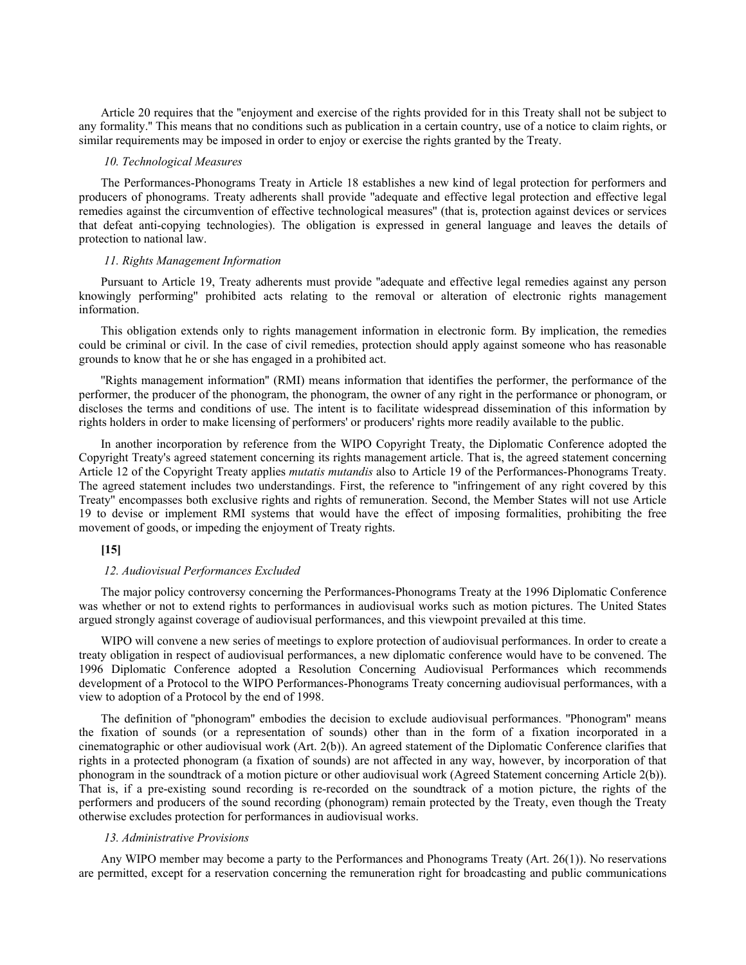Article 20 requires that the ''enjoyment and exercise of the rights provided for in this Treaty shall not be subject to any formality.'' This means that no conditions such as publication in a certain country, use of a notice to claim rights, or similar requirements may be imposed in order to enjoy or exercise the rights granted by the Treaty.

# *10. Technological Measures*

The Performances-Phonograms Treaty in Article 18 establishes a new kind of legal protection for performers and producers of phonograms. Treaty adherents shall provide ''adequate and effective legal protection and effective legal remedies against the circumvention of effective technological measures'' (that is, protection against devices or services that defeat anti-copying technologies). The obligation is expressed in general language and leaves the details of protection to national law.

### *11. Rights Management Information*

Pursuant to Article 19, Treaty adherents must provide ''adequate and effective legal remedies against any person knowingly performing'' prohibited acts relating to the removal or alteration of electronic rights management information.

This obligation extends only to rights management information in electronic form. By implication, the remedies could be criminal or civil. In the case of civil remedies, protection should apply against someone who has reasonable grounds to know that he or she has engaged in a prohibited act.

''Rights management information'' (RMI) means information that identifies the performer, the performance of the performer, the producer of the phonogram, the phonogram, the owner of any right in the performance or phonogram, or discloses the terms and conditions of use. The intent is to facilitate widespread dissemination of this information by rights holders in order to make licensing of performers' or producers' rights more readily available to the public.

In another incorporation by reference from the WIPO Copyright Treaty, the Diplomatic Conference adopted the Copyright Treaty's agreed statement concerning its rights management article. That is, the agreed statement concerning Article 12 of the Copyright Treaty applies *mutatis mutandis* also to Article 19 of the Performances-Phonograms Treaty. The agreed statement includes two understandings. First, the reference to ''infringement of any right covered by this Treaty'' encompasses both exclusive rights and rights of remuneration. Second, the Member States will not use Article 19 to devise or implement RMI systems that would have the effect of imposing formalities, prohibiting the free movement of goods, or impeding the enjoyment of Treaty rights.

# **[15]**

## *12. Audiovisual Performances Excluded*

The major policy controversy concerning the Performances-Phonograms Treaty at the 1996 Diplomatic Conference was whether or not to extend rights to performances in audiovisual works such as motion pictures. The United States argued strongly against coverage of audiovisual performances, and this viewpoint prevailed at this time.

WIPO will convene a new series of meetings to explore protection of audiovisual performances. In order to create a treaty obligation in respect of audiovisual performances, a new diplomatic conference would have to be convened. The 1996 Diplomatic Conference adopted a Resolution Concerning Audiovisual Performances which recommends development of a Protocol to the WIPO Performances-Phonograms Treaty concerning audiovisual performances, with a view to adoption of a Protocol by the end of 1998.

The definition of ''phonogram'' embodies the decision to exclude audiovisual performances. ''Phonogram'' means the fixation of sounds (or a representation of sounds) other than in the form of a fixation incorporated in a cinematographic or other audiovisual work (Art. 2(b)). An agreed statement of the Diplomatic Conference clarifies that rights in a protected phonogram (a fixation of sounds) are not affected in any way, however, by incorporation of that phonogram in the soundtrack of a motion picture or other audiovisual work (Agreed Statement concerning Article 2(b)). That is, if a pre-existing sound recording is re-recorded on the soundtrack of a motion picture, the rights of the performers and producers of the sound recording (phonogram) remain protected by the Treaty, even though the Treaty otherwise excludes protection for performances in audiovisual works.

## *13. Administrative Provisions*

Any WIPO member may become a party to the Performances and Phonograms Treaty (Art. 26(1)). No reservations are permitted, except for a reservation concerning the remuneration right for broadcasting and public communications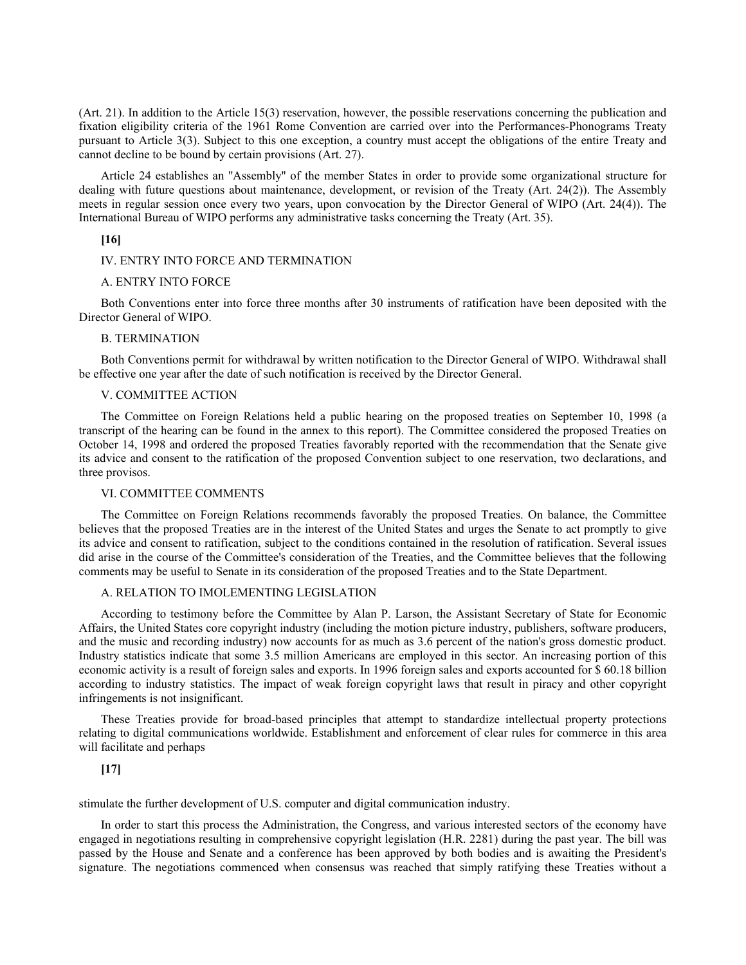(Art. 21). In addition to the Article 15(3) reservation, however, the possible reservations concerning the publication and fixation eligibility criteria of the 1961 Rome Convention are carried over into the Performances-Phonograms Treaty pursuant to Article 3(3). Subject to this one exception, a country must accept the obligations of the entire Treaty and cannot decline to be bound by certain provisions (Art. 27).

Article 24 establishes an ''Assembly'' of the member States in order to provide some organizational structure for dealing with future questions about maintenance, development, or revision of the Treaty (Art. 24(2)). The Assembly meets in regular session once every two years, upon convocation by the Director General of WIPO (Art. 24(4)). The International Bureau of WIPO performs any administrative tasks concerning the Treaty (Art. 35).

# **[16]**

## IV. ENTRY INTO FORCE AND TERMINATION

### A. ENTRY INTO FORCE

Both Conventions enter into force three months after 30 instruments of ratification have been deposited with the Director General of WIPO.

#### B. TERMINATION

Both Conventions permit for withdrawal by written notification to the Director General of WIPO. Withdrawal shall be effective one year after the date of such notification is received by the Director General.

#### V. COMMITTEE ACTION

The Committee on Foreign Relations held a public hearing on the proposed treaties on September 10, 1998 (a transcript of the hearing can be found in the annex to this report). The Committee considered the proposed Treaties on October 14, 1998 and ordered the proposed Treaties favorably reported with the recommendation that the Senate give its advice and consent to the ratification of the proposed Convention subject to one reservation, two declarations, and three provisos.

#### VI. COMMITTEE COMMENTS

The Committee on Foreign Relations recommends favorably the proposed Treaties. On balance, the Committee believes that the proposed Treaties are in the interest of the United States and urges the Senate to act promptly to give its advice and consent to ratification, subject to the conditions contained in the resolution of ratification. Several issues did arise in the course of the Committee's consideration of the Treaties, and the Committee believes that the following comments may be useful to Senate in its consideration of the proposed Treaties and to the State Department.

# A. RELATION TO IMOLEMENTING LEGISLATION

According to testimony before the Committee by Alan P. Larson, the Assistant Secretary of State for Economic Affairs, the United States core copyright industry (including the motion picture industry, publishers, software producers, and the music and recording industry) now accounts for as much as 3.6 percent of the nation's gross domestic product. Industry statistics indicate that some 3.5 million Americans are employed in this sector. An increasing portion of this economic activity is a result of foreign sales and exports. In 1996 foreign sales and exports accounted for \$ 60.18 billion according to industry statistics. The impact of weak foreign copyright laws that result in piracy and other copyright infringements is not insignificant.

These Treaties provide for broad-based principles that attempt to standardize intellectual property protections relating to digital communications worldwide. Establishment and enforcement of clear rules for commerce in this area will facilitate and perhaps

# **[17]**

stimulate the further development of U.S. computer and digital communication industry.

In order to start this process the Administration, the Congress, and various interested sectors of the economy have engaged in negotiations resulting in comprehensive copyright legislation (H.R. 2281) during the past year. The bill was passed by the House and Senate and a conference has been approved by both bodies and is awaiting the President's signature. The negotiations commenced when consensus was reached that simply ratifying these Treaties without a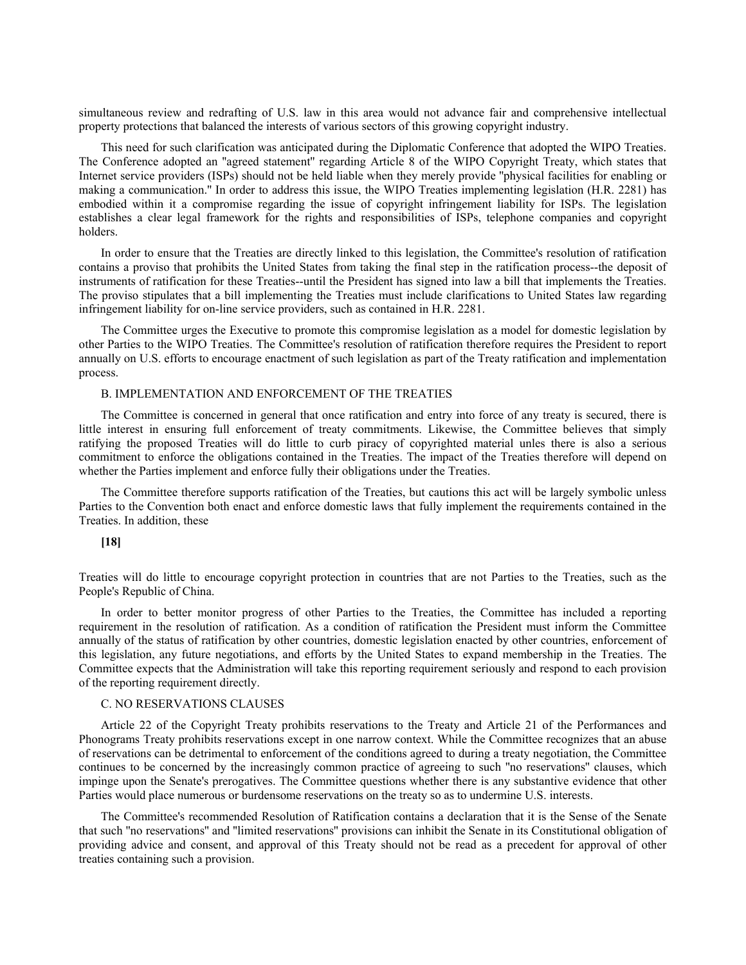simultaneous review and redrafting of U.S. law in this area would not advance fair and comprehensive intellectual property protections that balanced the interests of various sectors of this growing copyright industry.

This need for such clarification was anticipated during the Diplomatic Conference that adopted the WIPO Treaties. The Conference adopted an ''agreed statement'' regarding Article 8 of the WIPO Copyright Treaty, which states that Internet service providers (ISPs) should not be held liable when they merely provide ''physical facilities for enabling or making a communication.'' In order to address this issue, the WIPO Treaties implementing legislation (H.R. 2281) has embodied within it a compromise regarding the issue of copyright infringement liability for ISPs. The legislation establishes a clear legal framework for the rights and responsibilities of ISPs, telephone companies and copyright holders.

In order to ensure that the Treaties are directly linked to this legislation, the Committee's resolution of ratification contains a proviso that prohibits the United States from taking the final step in the ratification process--the deposit of instruments of ratification for these Treaties--until the President has signed into law a bill that implements the Treaties. The proviso stipulates that a bill implementing the Treaties must include clarifications to United States law regarding infringement liability for on-line service providers, such as contained in H.R. 2281.

The Committee urges the Executive to promote this compromise legislation as a model for domestic legislation by other Parties to the WIPO Treaties. The Committee's resolution of ratification therefore requires the President to report annually on U.S. efforts to encourage enactment of such legislation as part of the Treaty ratification and implementation process.

## B. IMPLEMENTATION AND ENFORCEMENT OF THE TREATIES

The Committee is concerned in general that once ratification and entry into force of any treaty is secured, there is little interest in ensuring full enforcement of treaty commitments. Likewise, the Committee believes that simply ratifying the proposed Treaties will do little to curb piracy of copyrighted material unles there is also a serious commitment to enforce the obligations contained in the Treaties. The impact of the Treaties therefore will depend on whether the Parties implement and enforce fully their obligations under the Treaties.

The Committee therefore supports ratification of the Treaties, but cautions this act will be largely symbolic unless Parties to the Convention both enact and enforce domestic laws that fully implement the requirements contained in the Treaties. In addition, these

# **[18]**

Treaties will do little to encourage copyright protection in countries that are not Parties to the Treaties, such as the People's Republic of China.

In order to better monitor progress of other Parties to the Treaties, the Committee has included a reporting requirement in the resolution of ratification. As a condition of ratification the President must inform the Committee annually of the status of ratification by other countries, domestic legislation enacted by other countries, enforcement of this legislation, any future negotiations, and efforts by the United States to expand membership in the Treaties. The Committee expects that the Administration will take this reporting requirement seriously and respond to each provision of the reporting requirement directly.

# C. NO RESERVATIONS CLAUSES

Article 22 of the Copyright Treaty prohibits reservations to the Treaty and Article 21 of the Performances and Phonograms Treaty prohibits reservations except in one narrow context. While the Committee recognizes that an abuse of reservations can be detrimental to enforcement of the conditions agreed to during a treaty negotiation, the Committee continues to be concerned by the increasingly common practice of agreeing to such ''no reservations'' clauses, which impinge upon the Senate's prerogatives. The Committee questions whether there is any substantive evidence that other Parties would place numerous or burdensome reservations on the treaty so as to undermine U.S. interests.

The Committee's recommended Resolution of Ratification contains a declaration that it is the Sense of the Senate that such ''no reservations'' and ''limited reservations'' provisions can inhibit the Senate in its Constitutional obligation of providing advice and consent, and approval of this Treaty should not be read as a precedent for approval of other treaties containing such a provision.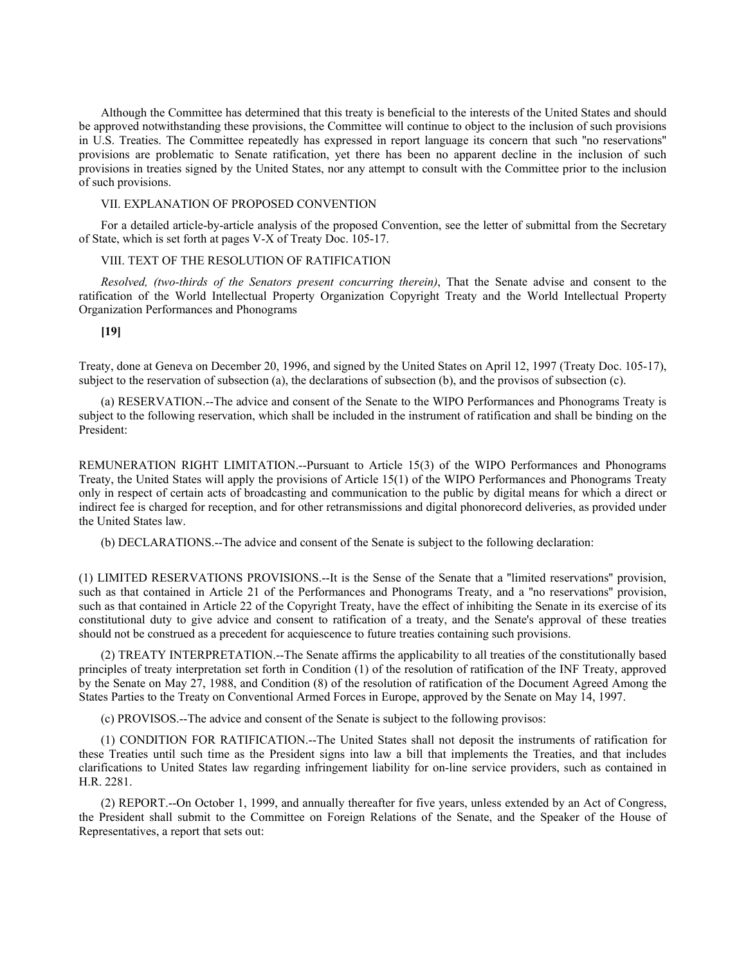Although the Committee has determined that this treaty is beneficial to the interests of the United States and should be approved notwithstanding these provisions, the Committee will continue to object to the inclusion of such provisions in U.S. Treaties. The Committee repeatedly has expressed in report language its concern that such ''no reservations'' provisions are problematic to Senate ratification, yet there has been no apparent decline in the inclusion of such provisions in treaties signed by the United States, nor any attempt to consult with the Committee prior to the inclusion of such provisions.

## VII. EXPLANATION OF PROPOSED CONVENTION

For a detailed article-by-article analysis of the proposed Convention, see the letter of submittal from the Secretary of State, which is set forth at pages V-X of Treaty Doc. 105-17.

# VIII. TEXT OF THE RESOLUTION OF RATIFICATION

*Resolved, (two-thirds of the Senators present concurring therein)*, That the Senate advise and consent to the ratification of the World Intellectual Property Organization Copyright Treaty and the World Intellectual Property Organization Performances and Phonograms

**[19]**

Treaty, done at Geneva on December 20, 1996, and signed by the United States on April 12, 1997 (Treaty Doc. 105-17), subject to the reservation of subsection (a), the declarations of subsection (b), and the provisos of subsection (c).

(a) RESERVATION.--The advice and consent of the Senate to the WIPO Performances and Phonograms Treaty is subject to the following reservation, which shall be included in the instrument of ratification and shall be binding on the President:

REMUNERATION RIGHT LIMITATION.--Pursuant to Article 15(3) of the WIPO Performances and Phonograms Treaty, the United States will apply the provisions of Article 15(1) of the WIPO Performances and Phonograms Treaty only in respect of certain acts of broadcasting and communication to the public by digital means for which a direct or indirect fee is charged for reception, and for other retransmissions and digital phonorecord deliveries, as provided under the United States law.

(b) DECLARATIONS.--The advice and consent of the Senate is subject to the following declaration:

(1) LIMITED RESERVATIONS PROVISIONS.--It is the Sense of the Senate that a ''limited reservations'' provision, such as that contained in Article 21 of the Performances and Phonograms Treaty, and a ''no reservations'' provision, such as that contained in Article 22 of the Copyright Treaty, have the effect of inhibiting the Senate in its exercise of its constitutional duty to give advice and consent to ratification of a treaty, and the Senate's approval of these treaties should not be construed as a precedent for acquiescence to future treaties containing such provisions.

(2) TREATY INTERPRETATION.--The Senate affirms the applicability to all treaties of the constitutionally based principles of treaty interpretation set forth in Condition (1) of the resolution of ratification of the INF Treaty, approved by the Senate on May 27, 1988, and Condition (8) of the resolution of ratification of the Document Agreed Among the States Parties to the Treaty on Conventional Armed Forces in Europe, approved by the Senate on May 14, 1997.

(c) PROVISOS.--The advice and consent of the Senate is subject to the following provisos:

(1) CONDITION FOR RATIFICATION.--The United States shall not deposit the instruments of ratification for these Treaties until such time as the President signs into law a bill that implements the Treaties, and that includes clarifications to United States law regarding infringement liability for on-line service providers, such as contained in H.R. 2281.

(2) REPORT.--On October 1, 1999, and annually thereafter for five years, unless extended by an Act of Congress, the President shall submit to the Committee on Foreign Relations of the Senate, and the Speaker of the House of Representatives, a report that sets out: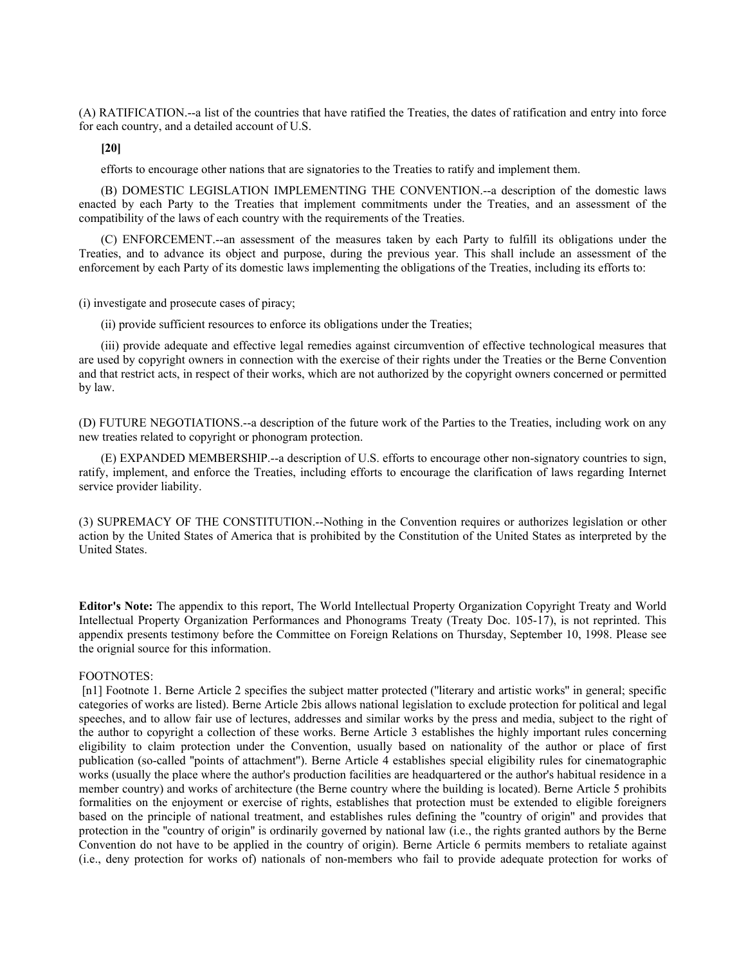(A) RATIFICATION.--a list of the countries that have ratified the Treaties, the dates of ratification and entry into force for each country, and a detailed account of U.S.

**[20]**

efforts to encourage other nations that are signatories to the Treaties to ratify and implement them.

(B) DOMESTIC LEGISLATION IMPLEMENTING THE CONVENTION.--a description of the domestic laws enacted by each Party to the Treaties that implement commitments under the Treaties, and an assessment of the compatibility of the laws of each country with the requirements of the Treaties.

(C) ENFORCEMENT.--an assessment of the measures taken by each Party to fulfill its obligations under the Treaties, and to advance its object and purpose, during the previous year. This shall include an assessment of the enforcement by each Party of its domestic laws implementing the obligations of the Treaties, including its efforts to:

(i) investigate and prosecute cases of piracy;

(ii) provide sufficient resources to enforce its obligations under the Treaties;

(iii) provide adequate and effective legal remedies against circumvention of effective technological measures that are used by copyright owners in connection with the exercise of their rights under the Treaties or the Berne Convention and that restrict acts, in respect of their works, which are not authorized by the copyright owners concerned or permitted by law.

(D) FUTURE NEGOTIATIONS.--a description of the future work of the Parties to the Treaties, including work on any new treaties related to copyright or phonogram protection.

(E) EXPANDED MEMBERSHIP.--a description of U.S. efforts to encourage other non-signatory countries to sign, ratify, implement, and enforce the Treaties, including efforts to encourage the clarification of laws regarding Internet service provider liability.

(3) SUPREMACY OF THE CONSTITUTION.--Nothing in the Convention requires or authorizes legislation or other action by the United States of America that is prohibited by the Constitution of the United States as interpreted by the United States.

**Editor's Note:** The appendix to this report, The World Intellectual Property Organization Copyright Treaty and World Intellectual Property Organization Performances and Phonograms Treaty (Treaty Doc. 105-17), is not reprinted. This appendix presents testimony before the Committee on Foreign Relations on Thursday, September 10, 1998. Please see the orignial source for this information.

# FOOTNOTES:

[n1] Footnote 1. Berne Article 2 specifies the subject matter protected ("literary and artistic works" in general; specific categories of works are listed). Berne Article 2bis allows national legislation to exclude protection for political and legal speeches, and to allow fair use of lectures, addresses and similar works by the press and media, subject to the right of the author to copyright a collection of these works. Berne Article 3 establishes the highly important rules concerning eligibility to claim protection under the Convention, usually based on nationality of the author or place of first publication (so-called ''points of attachment''). Berne Article 4 establishes special eligibility rules for cinematographic works (usually the place where the author's production facilities are headquartered or the author's habitual residence in a member country) and works of architecture (the Berne country where the building is located). Berne Article 5 prohibits formalities on the enjoyment or exercise of rights, establishes that protection must be extended to eligible foreigners based on the principle of national treatment, and establishes rules defining the ''country of origin'' and provides that protection in the ''country of origin'' is ordinarily governed by national law (i.e., the rights granted authors by the Berne Convention do not have to be applied in the country of origin). Berne Article 6 permits members to retaliate against (i.e., deny protection for works of) nationals of non-members who fail to provide adequate protection for works of